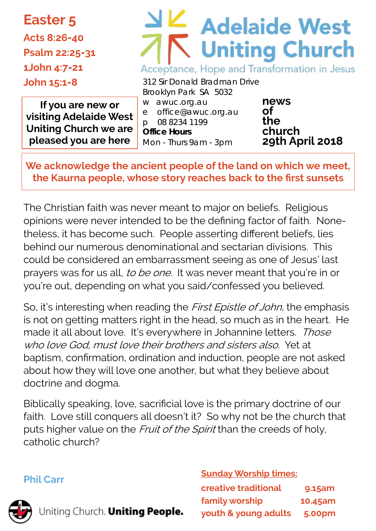**Easter 5 Acts 8:26-40 Psalm 22:25-31**

**1John 4:7-21**

**John 15:1-8**

# **Adelaide West Uniting Church** Acceptance, Hope and Transformation in Jesus

**If you are new or visiting Adelaide West Uniting Church we are pleased you are here**

312 Sir Donald Bradman Drive Brooklyn Park SA 5032 w awuc.org.au e office@awuc.org.au p 08 8234 1199 **Office Hours**  Mon - Thurs 9am - 3pm

**news of the church 29th April 2018**

**We acknowledge the ancient people of the land on which we meet, the Kaurna people, whose story reaches back to the first sunsets**

The Christian faith was never meant to major on beliefs. Religious opinions were never intended to be the defining factor of faith. Nonetheless, it has become such. People asserting different beliefs, lies behind our numerous denominational and sectarian divisions. This could be considered an embarrassment seeing as one of Jesus' last prayers was for us all, to be one. It was never meant that you're in or you're out, depending on what you said/confessed you believed.

So, it's interesting when reading the *First Epistle of John*, the emphasis is not on getting matters right in the head, so much as in the heart. He made it all about love. It's everywhere in Johannine letters. Those who love God, must love their brothers and sisters also. Yet at baptism, confirmation, ordination and induction, people are not asked about how they will love one another, but what they believe about doctrine and dogma.

Biblically speaking, love, sacrificial love is the primary doctrine of our faith. Love still conquers all doesn't it? So why not be the church that puts higher value on the Fruit of the Spirit than the creeds of holy, catholic church?

#### **Phil Carr**

Uniting Church. Uniting People.

**Sunday Worship times:** 

| <b>creative traditional</b> | 9.15am        |
|-----------------------------|---------------|
| family worship              | 10.45am       |
| youth & young adults        | <b>5.00pm</b> |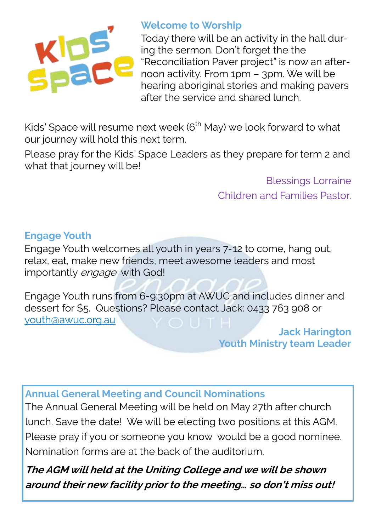

#### **Welcome to Worship**

Today there will be an activity in the hall during the sermon. Don't forget the the "Reconciliation Paver project" is now an afternoon activity. From 1pm – 3pm. We will be hearing aboriginal stories and making pavers after the service and shared lunch.

Kids' Space will resume next week  $6<sup>th</sup>$  May) we look forward to what our journey will hold this next term.

Please pray for the Kids' Space Leaders as they prepare for term 2 and what that journey will be!

> Blessings Lorraine Children and Families Pastor.

#### **Engage Youth**

Engage Youth welcomes all youth in years 7-12 to come, hang out, relax, eat, make new friends, meet awesome leaders and most importantly *engage* with God!

Engage Youth runs from 6-9:30pm at AWUC and includes dinner and dessert for \$5. Questions? Please contact Jack: 0433 763 908 or [youth@awuc.org.au](mailto:youth@awuc.org.au)

> **Jack Harington Youth Ministry team Leader**

#### **Annual General Meeting and Council Nominations**

The Annual General Meeting will be held on May 27th after church lunch. Save the date! We will be electing two positions at this AGM. Please pray if you or someone you know would be a good nominee. Nomination forms are at the back of the auditorium.

**The AGM will held at the Uniting College and we will be shown around their new facility prior to the meeting… so don't miss out!**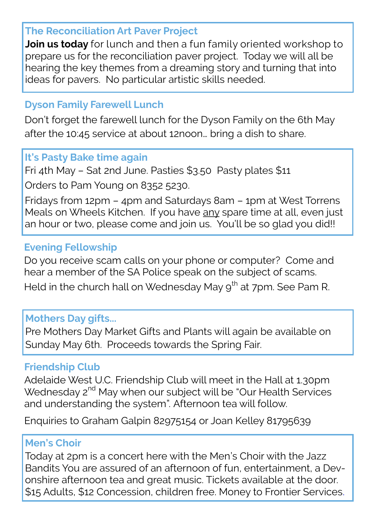#### **The Reconciliation Art Paver Project**

**Join us today** for lunch and then a fun family oriented workshop to prepare us for the reconciliation paver project. Today we will all be hearing the key themes from a dreaming story and turning that into ideas for pavers. No particular artistic skills needed.

## **Dyson Family Farewell Lunch**

Don't forget the farewell lunch for the Dyson Family on the 6th May after the 10:45 service at about 12noon… bring a dish to share.

## **It's Pasty Bake time again**

Fri 4th May – Sat 2nd June. Pasties \$3.50 Pasty plates \$11

Orders to Pam Young on 8352 5230.

Fridays from 12pm – 4pm and Saturdays 8am – 1pm at West Torrens Meals on Wheels Kitchen. If you have any spare time at all, even just an hour or two, please come and join us. You'll be so glad you did!!

## **Evening Fellowship**

Do you receive scam calls on your phone or computer? Come and hear a member of the SA Police speak on the subject of scams. Held in the church hall on Wednesday May  $9<sup>th</sup>$  at 7pm. See Pam R.

## **Mothers Day gifts...**

Pre Mothers Day Market Gifts and Plants will again be available on Sunday May 6th. Proceeds towards the Spring Fair.

## **Friendship Club**

Adelaide West U.C. Friendship Club will meet in the Hall at 1.30pm Wednesday 2<sup>nd</sup> May when our subject will be "Our Health Services" and understanding the system". Afternoon tea will follow.

Enquiries to Graham Galpin 82975154 or Joan Kelley 81795639

## **Men's Choir**

Today at 2pm is a concert here with the Men's Choir with the Jazz Bandits You are assured of an afternoon of fun, entertainment, a Devonshire afternoon tea and great music. Tickets available at the door. \$15 Adults, \$12 Concession, children free. Money to Frontier Services.